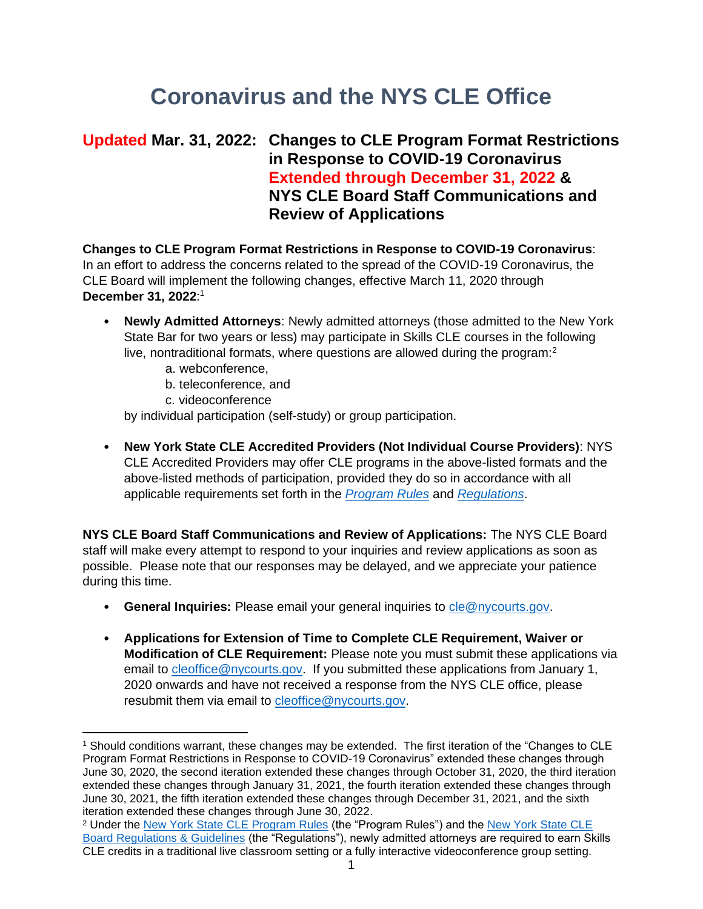# **Coronavirus and the NYS CLE Office**

#### **Updated Mar. 31, 2022: Changes to CLE Program Format Restrictions in Response to COVID-19 Coronavirus Extended through December 31, 2022 & NYS CLE Board Staff Communications and Review of Applications**

**Changes to CLE Program Format Restrictions in Response to COVID-19 Coronavirus**: In an effort to address the concerns related to the spread of the COVID-19 Coronavirus, the CLE Board will implement the following changes, effective March 11, 2020 through **December 31, 2022**: 1

- **Newly Admitted Attorneys**: Newly admitted attorneys (those admitted to the New York State Bar for two years or less) may participate in Skills CLE courses in the following live, nontraditional formats, where questions are allowed during the program: $2$ 
	- a. webconference,
	- b. teleconference, and
	- c. videoconference

by individual participation (self-study) or group participation.

• **New York State CLE Accredited Providers (Not Individual Course Providers)**: NYS CLE Accredited Providers may offer CLE programs in the above-listed formats and the above-listed methods of participation, provided they do so in accordance with all applicable requirements set forth in the *[Program Rules](http://ww2.nycourts.gov/sites/default/files/document/files/2018-03/programrules.pdf)* and *[Regulations](http://ww2.nycourts.gov/sites/default/files/document/files/2018-08/16a%20-%20%20CLE-Regulations__Guidelines-June%202018.pdf)*.

**NYS CLE Board Staff Communications and Review of Applications:** The NYS CLE Board staff will make every attempt to respond to your inquiries and review applications as soon as possible. Please note that our responses may be delayed, and we appreciate your patience during this time.

- **General Inquiries:** Please email your general inquiries to [cle@nycourts.gov.](mailto:cle@nycourts.gov)
- **Applications for Extension of Time to Complete CLE Requirement, Waiver or Modification of CLE Requirement:** Please note you must submit these applications via email to [cleoffice@nycourts.gov.](mailto:cleoffice@nycourts.gov) If you submitted these applications from January 1, 2020 onwards and have not received a response from the NYS CLE office, please resubmit them via email to [cleoffice@nycourts.gov.](mailto:cleoffice@nycourts.gov)

<sup>1</sup> Should conditions warrant, these changes may be extended. The first iteration of the "Changes to CLE Program Format Restrictions in Response to COVID-19 Coronavirus" extended these changes through June 30, 2020, the second iteration extended these changes through October 31, 2020, the third iteration extended these changes through January 31, 2021, the fourth iteration extended these changes through June 30, 2021, the fifth iteration extended these changes through December 31, 2021, and the sixth iteration extended these changes through June 30, 2022.

<sup>2</sup> Under the [New York State CLE Program Rules](http://ww2.nycourts.gov/sites/default/files/document/files/2018-03/programrules.pdf) (the "Program Rules") and the [New York State CLE](http://ww2.nycourts.gov/sites/default/files/document/files/2018-08/16a%20-%20%20CLE-Regulations__Guidelines-June%202018.pdf)  [Board Regulations & Guidelines](http://ww2.nycourts.gov/sites/default/files/document/files/2018-08/16a%20-%20%20CLE-Regulations__Guidelines-June%202018.pdf) (the "Regulations"), newly admitted attorneys are required to earn Skills CLE credits in a traditional live classroom setting or a fully interactive videoconference group setting.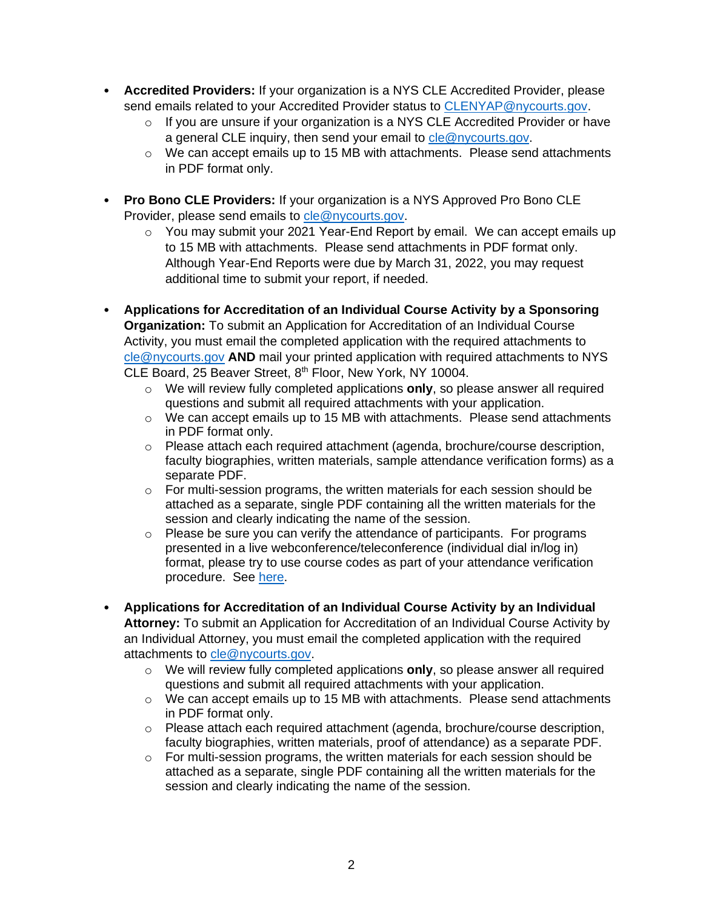- **Accredited Providers:** If your organization is a NYS CLE Accredited Provider, please send emails related to your Accredited Provider status to [CLENYAP@nycourts.gov.](mailto:CLENYAP@nycourts.gov)
	- o If you are unsure if your organization is a NYS CLE Accredited Provider or have a general CLE inquiry, then send your email to [cle@nycourts.gov.](mailto:cle@nycourts.gov)
	- o We can accept emails up to 15 MB with attachments. Please send attachments in PDF format only.
- **Pro Bono CLE Providers:** If your organization is a NYS Approved Pro Bono CLE Provider, please send emails to [cle@nycourts.gov.](mailto:cle@nycourts.gov)
	- $\circ$  You may submit your 2021 Year-End Report by email. We can accept emails up to 15 MB with attachments. Please send attachments in PDF format only. Although Year-End Reports were due by March 31, 2022, you may request additional time to submit your report, if needed.
- **Applications for Accreditation of an Individual Course Activity by a Sponsoring Organization:** To submit an Application for Accreditation of an Individual Course Activity, you must email the completed application with the required attachments to [cle@nycourts.gov](mailto:cle@nycourts.gov) **AND** mail your printed application with required attachments to NYS CLE Board, 25 Beaver Street, 8th Floor, New York, NY 10004.
	- o We will review fully completed applications **only**, so please answer all required questions and submit all required attachments with your application.
	- o We can accept emails up to 15 MB with attachments. Please send attachments in PDF format only.
	- o Please attach each required attachment (agenda, brochure/course description, faculty biographies, written materials, sample attendance verification forms) as a separate PDF.
	- $\circ$  For multi-session programs, the written materials for each session should be attached as a separate, single PDF containing all the written materials for the session and clearly indicating the name of the session.
	- o Please be sure you can verify the attendance of participants. For programs presented in a live webconference/teleconference (individual dial in/log in) format, please try to use course codes as part of your attendance verification procedure. See [here.](http://ww2.nycourts.gov/sites/default/files/document/files/2020-09/Attorney_Affirmation_Sample.pdf)
- **Applications for Accreditation of an Individual Course Activity by an Individual Attorney:** To submit an Application for Accreditation of an Individual Course Activity by an Individual Attorney, you must email the completed application with the required attachments to [cle@nycourts.gov.](mailto:cle@nycourts.gov)
	- o We will review fully completed applications **only**, so please answer all required questions and submit all required attachments with your application.
	- $\circ$  We can accept emails up to 15 MB with attachments. Please send attachments in PDF format only.
	- $\circ$  Please attach each required attachment (agenda, brochure/course description, faculty biographies, written materials, proof of attendance) as a separate PDF.
	- o For multi-session programs, the written materials for each session should be attached as a separate, single PDF containing all the written materials for the session and clearly indicating the name of the session.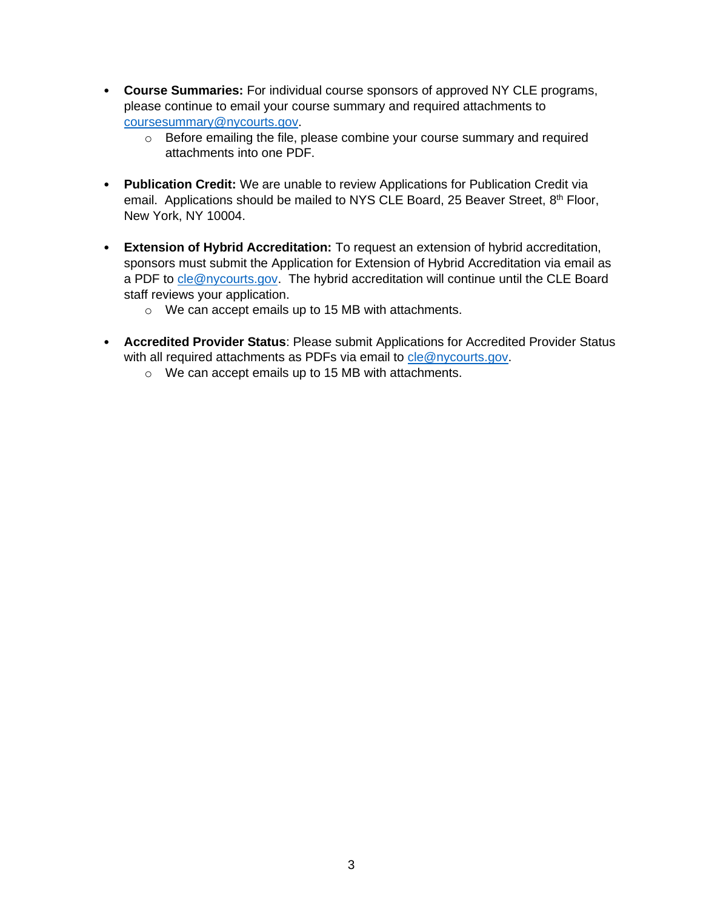- **Course Summaries:** For individual course sponsors of approved NY CLE programs, please continue to email your course summary and required attachments to [coursesummary@nycourts.gov.](mailto:coursesummary@nycourts.gov)
	- o Before emailing the file, please combine your course summary and required attachments into one PDF.
- **Publication Credit:** We are unable to review Applications for Publication Credit via email. Applications should be mailed to NYS CLE Board, 25 Beaver Street, 8<sup>th</sup> Floor, New York, NY 10004.
- **Extension of Hybrid Accreditation:** To request an extension of hybrid accreditation, sponsors must submit the Application for Extension of Hybrid Accreditation via email as a PDF to [cle@nycourts.gov.](mailto:cle@nycourts.gov) The hybrid accreditation will continue until the CLE Board staff reviews your application.
	- o We can accept emails up to 15 MB with attachments.
- **Accredited Provider Status**: Please submit Applications for Accredited Provider Status with all required attachments as PDFs via email to [cle@nycourts.gov.](mailto:cle@nycourts.gov)
	- o We can accept emails up to 15 MB with attachments.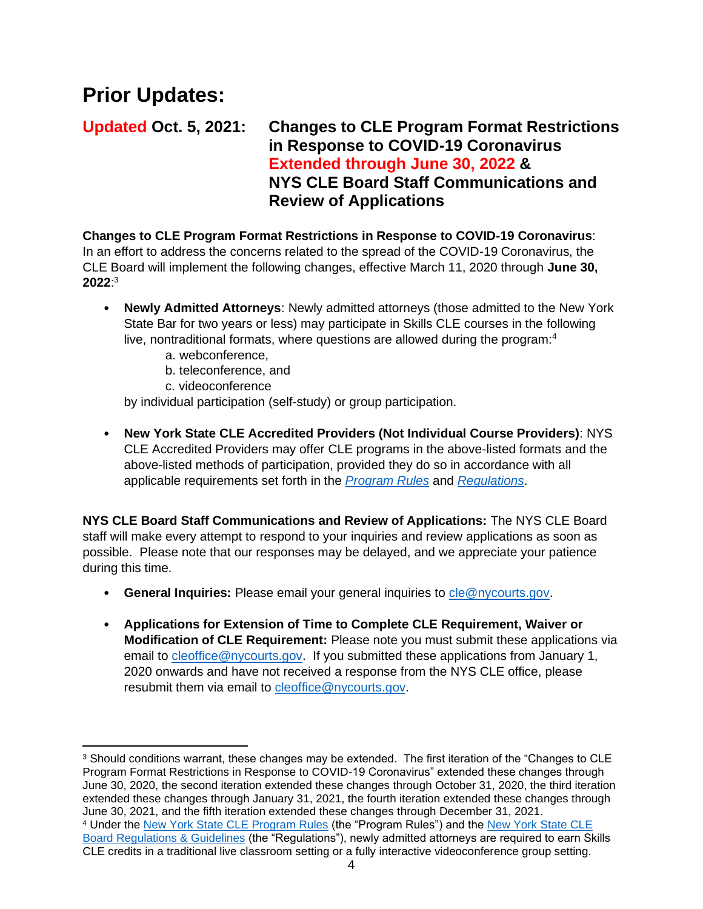# **Prior Updates:**

**Updated Oct. 5, 2021: Changes to CLE Program Format Restrictions in Response to COVID-19 Coronavirus Extended through June 30, 2022 & NYS CLE Board Staff Communications and Review of Applications** 

**Changes to CLE Program Format Restrictions in Response to COVID-19 Coronavirus**: In an effort to address the concerns related to the spread of the COVID-19 Coronavirus, the CLE Board will implement the following changes, effective March 11, 2020 through **June 30, 2022**: 3

- **Newly Admitted Attorneys**: Newly admitted attorneys (those admitted to the New York State Bar for two years or less) may participate in Skills CLE courses in the following live, nontraditional formats, where questions are allowed during the program: $4$ 
	- a. webconference,
	- b. teleconference, and
	- c. videoconference

by individual participation (self-study) or group participation.

• **New York State CLE Accredited Providers (Not Individual Course Providers)**: NYS CLE Accredited Providers may offer CLE programs in the above-listed formats and the above-listed methods of participation, provided they do so in accordance with all applicable requirements set forth in the *[Program Rules](http://ww2.nycourts.gov/sites/default/files/document/files/2018-03/programrules.pdf)* and *[Regulations](http://ww2.nycourts.gov/sites/default/files/document/files/2018-08/16a%20-%20%20CLE-Regulations__Guidelines-June%202018.pdf)*.

**NYS CLE Board Staff Communications and Review of Applications:** The NYS CLE Board staff will make every attempt to respond to your inquiries and review applications as soon as possible. Please note that our responses may be delayed, and we appreciate your patience during this time.

- **General Inquiries:** Please email your general inquiries to [cle@nycourts.gov.](mailto:cle@nycourts.gov)
- **Applications for Extension of Time to Complete CLE Requirement, Waiver or Modification of CLE Requirement:** Please note you must submit these applications via email to [cleoffice@nycourts.gov.](mailto:cleoffice@nycourts.gov) If you submitted these applications from January 1, 2020 onwards and have not received a response from the NYS CLE office, please resubmit them via email to [cleoffice@nycourts.gov.](mailto:cleoffice@nycourts.gov)

<sup>&</sup>lt;sup>3</sup> Should conditions warrant, these changes may be extended. The first iteration of the "Changes to CLE Program Format Restrictions in Response to COVID-19 Coronavirus" extended these changes through June 30, 2020, the second iteration extended these changes through October 31, 2020, the third iteration extended these changes through January 31, 2021, the fourth iteration extended these changes through June 30, 2021, and the fifth iteration extended these changes through December 31, 2021.

<sup>4</sup> Under the [New York State CLE Program Rules](http://ww2.nycourts.gov/sites/default/files/document/files/2018-03/programrules.pdf) (the "Program Rules") and the [New York State CLE](http://ww2.nycourts.gov/sites/default/files/document/files/2018-08/16a%20-%20%20CLE-Regulations__Guidelines-June%202018.pdf)  [Board Regulations & Guidelines](http://ww2.nycourts.gov/sites/default/files/document/files/2018-08/16a%20-%20%20CLE-Regulations__Guidelines-June%202018.pdf) (the "Regulations"), newly admitted attorneys are required to earn Skills CLE credits in a traditional live classroom setting or a fully interactive videoconference group setting.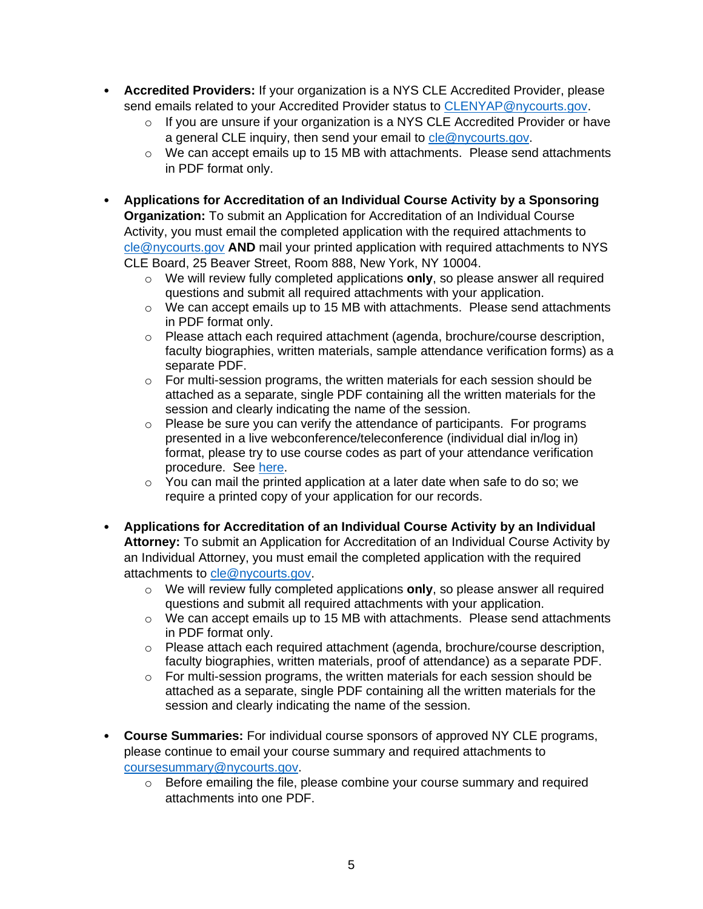- **Accredited Providers:** If your organization is a NYS CLE Accredited Provider, please send emails related to your Accredited Provider status to [CLENYAP@nycourts.gov.](mailto:CLENYAP@nycourts.gov)
	- o If you are unsure if your organization is a NYS CLE Accredited Provider or have a general CLE inquiry, then send your email to [cle@nycourts.gov.](mailto:cle@nycourts.gov)
	- o We can accept emails up to 15 MB with attachments. Please send attachments in PDF format only.
- **Applications for Accreditation of an Individual Course Activity by a Sponsoring Organization:** To submit an Application for Accreditation of an Individual Course Activity, you must email the completed application with the required attachments to [cle@nycourts.gov](mailto:cle@nycourts.gov) **AND** mail your printed application with required attachments to NYS CLE Board, 25 Beaver Street, Room 888, New York, NY 10004.
	- o We will review fully completed applications **only**, so please answer all required questions and submit all required attachments with your application.
	- o We can accept emails up to 15 MB with attachments. Please send attachments in PDF format only.
	- o Please attach each required attachment (agenda, brochure/course description, faculty biographies, written materials, sample attendance verification forms) as a separate PDF.
	- $\circ$  For multi-session programs, the written materials for each session should be attached as a separate, single PDF containing all the written materials for the session and clearly indicating the name of the session.
	- o Please be sure you can verify the attendance of participants. For programs presented in a live webconference/teleconference (individual dial in/log in) format, please try to use course codes as part of your attendance verification procedure. See [here.](http://ww2.nycourts.gov/sites/default/files/document/files/2020-09/Attorney_Affirmation_Sample.pdf)
	- $\circ$  You can mail the printed application at a later date when safe to do so; we require a printed copy of your application for our records.
- **Applications for Accreditation of an Individual Course Activity by an Individual Attorney:** To submit an Application for Accreditation of an Individual Course Activity by an Individual Attorney, you must email the completed application with the required attachments to [cle@nycourts.gov.](mailto:cle@nycourts.gov)
	- o We will review fully completed applications **only**, so please answer all required questions and submit all required attachments with your application.
	- o We can accept emails up to 15 MB with attachments. Please send attachments in PDF format only.
	- $\circ$  Please attach each required attachment (agenda, brochure/course description, faculty biographies, written materials, proof of attendance) as a separate PDF.
	- o For multi-session programs, the written materials for each session should be attached as a separate, single PDF containing all the written materials for the session and clearly indicating the name of the session.
- **Course Summaries:** For individual course sponsors of approved NY CLE programs, please continue to email your course summary and required attachments to [coursesummary@nycourts.gov.](mailto:coursesummary@nycourts.gov)
	- o Before emailing the file, please combine your course summary and required attachments into one PDF.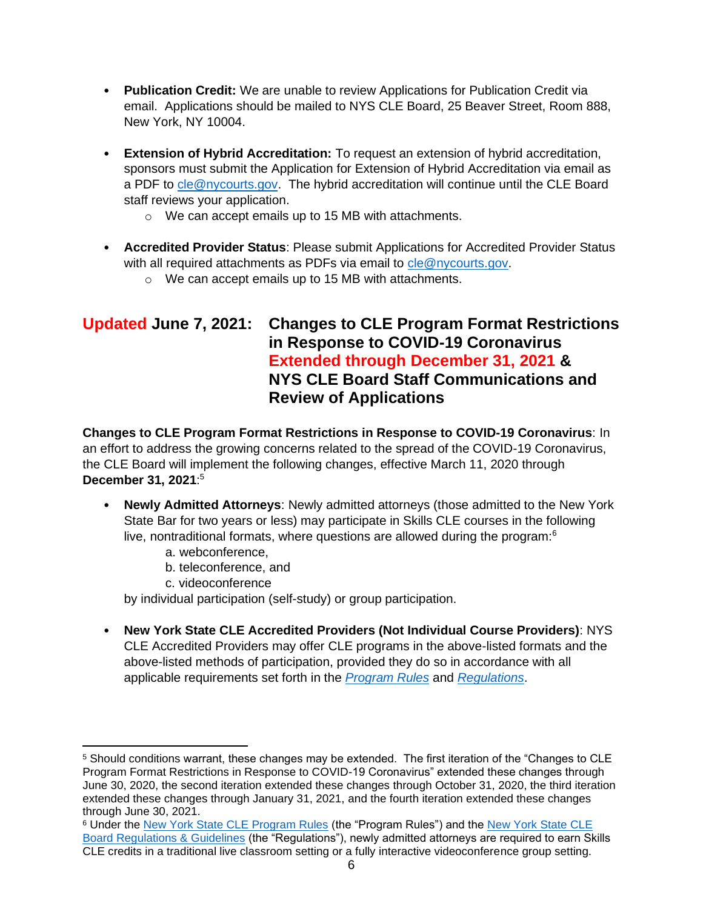- **Publication Credit:** We are unable to review Applications for Publication Credit via email. Applications should be mailed to NYS CLE Board, 25 Beaver Street, Room 888, New York, NY 10004.
- **Extension of Hybrid Accreditation:** To request an extension of hybrid accreditation, sponsors must submit the Application for Extension of Hybrid Accreditation via email as a PDF to [cle@nycourts.gov.](mailto:cle@nycourts.gov) The hybrid accreditation will continue until the CLE Board staff reviews your application.
	- o We can accept emails up to 15 MB with attachments.
- **Accredited Provider Status**: Please submit Applications for Accredited Provider Status with all required attachments as PDFs via email to [cle@nycourts.gov.](mailto:cle@nycourts.gov)
	- o We can accept emails up to 15 MB with attachments.

#### **Updated June 7, 2021: Changes to CLE Program Format Restrictions in Response to COVID-19 Coronavirus Extended through December 31, 2021 & NYS CLE Board Staff Communications and Review of Applications**

**Changes to CLE Program Format Restrictions in Response to COVID-19 Coronavirus**: In an effort to address the growing concerns related to the spread of the COVID-19 Coronavirus, the CLE Board will implement the following changes, effective March 11, 2020 through **December 31, 2021**: 5

- **Newly Admitted Attorneys**: Newly admitted attorneys (those admitted to the New York State Bar for two years or less) may participate in Skills CLE courses in the following live, nontraditional formats, where questions are allowed during the program:<sup>6</sup>
	- a. webconference,
	- b. teleconference, and
	- c. videoconference

by individual participation (self-study) or group participation.

• **New York State CLE Accredited Providers (Not Individual Course Providers)**: NYS CLE Accredited Providers may offer CLE programs in the above-listed formats and the above-listed methods of participation, provided they do so in accordance with all applicable requirements set forth in the *[Program Rules](http://ww2.nycourts.gov/sites/default/files/document/files/2018-03/programrules.pdf)* and *[Regulations](http://ww2.nycourts.gov/sites/default/files/document/files/2018-08/16a%20-%20%20CLE-Regulations__Guidelines-June%202018.pdf)*.

<sup>5</sup> Should conditions warrant, these changes may be extended. The first iteration of the "Changes to CLE Program Format Restrictions in Response to COVID-19 Coronavirus" extended these changes through June 30, 2020, the second iteration extended these changes through October 31, 2020, the third iteration extended these changes through January 31, 2021, and the fourth iteration extended these changes through June 30, 2021.

<sup>&</sup>lt;sup>6</sup> Under the [New York State CLE Program Rules](http://ww2.nycourts.gov/sites/default/files/document/files/2018-03/programrules.pdf) (the "Program Rules") and the New York State CLE [Board Regulations & Guidelines](http://ww2.nycourts.gov/sites/default/files/document/files/2018-08/16a%20-%20%20CLE-Regulations__Guidelines-June%202018.pdf) (the "Regulations"), newly admitted attorneys are required to earn Skills CLE credits in a traditional live classroom setting or a fully interactive videoconference group setting.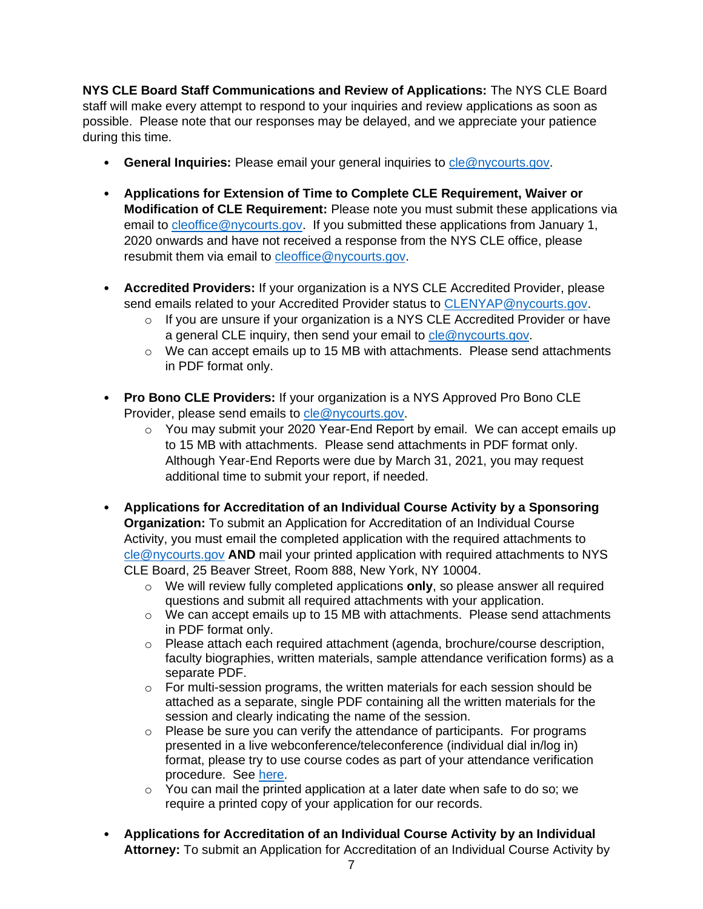**NYS CLE Board Staff Communications and Review of Applications:** The NYS CLE Board staff will make every attempt to respond to your inquiries and review applications as soon as possible. Please note that our responses may be delayed, and we appreciate your patience during this time.

- **General Inquiries:** Please email your general inquiries to [cle@nycourts.gov.](mailto:cle@nycourts.gov)
- **Applications for Extension of Time to Complete CLE Requirement, Waiver or Modification of CLE Requirement:** Please note you must submit these applications via email to [cleoffice@nycourts.gov.](mailto:cleoffice@nycourts.gov) If you submitted these applications from January 1, 2020 onwards and have not received a response from the NYS CLE office, please resubmit them via email to [cleoffice@nycourts.gov.](mailto:cleoffice@nycourts.gov)
- **Accredited Providers:** If your organization is a NYS CLE Accredited Provider, please send emails related to your Accredited Provider status to [CLENYAP@nycourts.gov.](mailto:CLENYAP@nycourts.gov)
	- $\circ$  If you are unsure if your organization is a NYS CLE Accredited Provider or have a general CLE inquiry, then send your email to [cle@nycourts.gov.](mailto:cle@nycourts.gov)
	- $\circ$  We can accept emails up to 15 MB with attachments. Please send attachments in PDF format only.
- **Pro Bono CLE Providers:** If your organization is a NYS Approved Pro Bono CLE Provider, please send emails to [cle@nycourts.gov.](mailto:cle@nycourts.gov)
	- o You may submit your 2020 Year-End Report by email. We can accept emails up to 15 MB with attachments. Please send attachments in PDF format only. Although Year-End Reports were due by March 31, 2021, you may request additional time to submit your report, if needed.
- **Applications for Accreditation of an Individual Course Activity by a Sponsoring Organization:** To submit an Application for Accreditation of an Individual Course Activity, you must email the completed application with the required attachments to [cle@nycourts.gov](mailto:cle@nycourts.gov) **AND** mail your printed application with required attachments to NYS CLE Board, 25 Beaver Street, Room 888, New York, NY 10004.
	- o We will review fully completed applications **only**, so please answer all required questions and submit all required attachments with your application.
	- $\circ$  We can accept emails up to 15 MB with attachments. Please send attachments in PDF format only.
	- o Please attach each required attachment (agenda, brochure/course description, faculty biographies, written materials, sample attendance verification forms) as a separate PDF.
	- $\circ$  For multi-session programs, the written materials for each session should be attached as a separate, single PDF containing all the written materials for the session and clearly indicating the name of the session.
	- $\circ$  Please be sure you can verify the attendance of participants. For programs presented in a live webconference/teleconference (individual dial in/log in) format, please try to use course codes as part of your attendance verification procedure. See [here.](http://ww2.nycourts.gov/sites/default/files/document/files/2018-03/affirmation_sample.pdf)
	- o You can mail the printed application at a later date when safe to do so; we require a printed copy of your application for our records.
- **Applications for Accreditation of an Individual Course Activity by an Individual Attorney:** To submit an Application for Accreditation of an Individual Course Activity by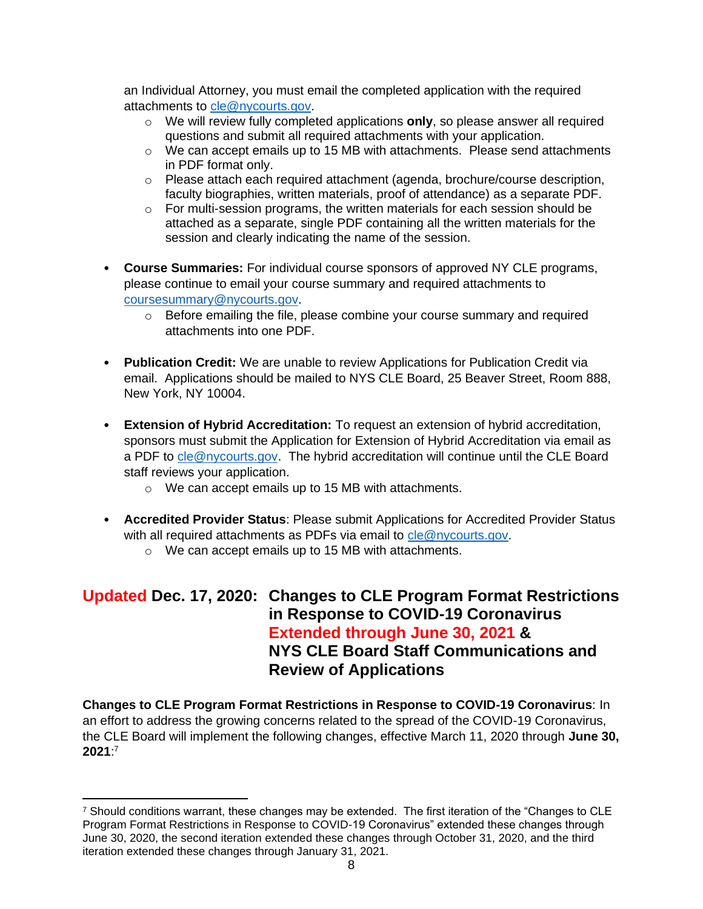an Individual Attorney, you must email the completed application with the required attachments to [cle@nycourts.gov.](mailto:cle@nycourts.gov)

- o We will review fully completed applications **only**, so please answer all required questions and submit all required attachments with your application.
- $\circ$  We can accept emails up to 15 MB with attachments. Please send attachments in PDF format only.
- $\circ$  Please attach each required attachment (agenda, brochure/course description, faculty biographies, written materials, proof of attendance) as a separate PDF.
- o For multi-session programs, the written materials for each session should be attached as a separate, single PDF containing all the written materials for the session and clearly indicating the name of the session.
- **Course Summaries:** For individual course sponsors of approved NY CLE programs, please continue to email your course summary and required attachments to [coursesummary@nycourts.gov.](mailto:coursesummary@nycourts.gov)
	- o Before emailing the file, please combine your course summary and required attachments into one PDF.
- **Publication Credit:** We are unable to review Applications for Publication Credit via email. Applications should be mailed to NYS CLE Board, 25 Beaver Street, Room 888, New York, NY 10004.
- **Extension of Hybrid Accreditation:** To request an extension of hybrid accreditation, sponsors must submit the Application for Extension of Hybrid Accreditation via email as a PDF to [cle@nycourts.gov.](mailto:cle@nycourts.gov) The hybrid accreditation will continue until the CLE Board staff reviews your application.
	- o We can accept emails up to 15 MB with attachments.
- **Accredited Provider Status**: Please submit Applications for Accredited Provider Status with all required attachments as PDFs via email to [cle@nycourts.gov.](mailto:cle@nycourts.gov)
	- o We can accept emails up to 15 MB with attachments.

## **Updated Dec. 17, 2020: Changes to CLE Program Format Restrictions in Response to COVID-19 Coronavirus Extended through June 30, 2021 & NYS CLE Board Staff Communications and Review of Applications**

**Changes to CLE Program Format Restrictions in Response to COVID-19 Coronavirus**: In an effort to address the growing concerns related to the spread of the COVID-19 Coronavirus, the CLE Board will implement the following changes, effective March 11, 2020 through **June 30, 2021**: 7

 $7$  Should conditions warrant, these changes may be extended. The first iteration of the "Changes to CLE Program Format Restrictions in Response to COVID-19 Coronavirus" extended these changes through June 30, 2020, the second iteration extended these changes through October 31, 2020, and the third iteration extended these changes through January 31, 2021.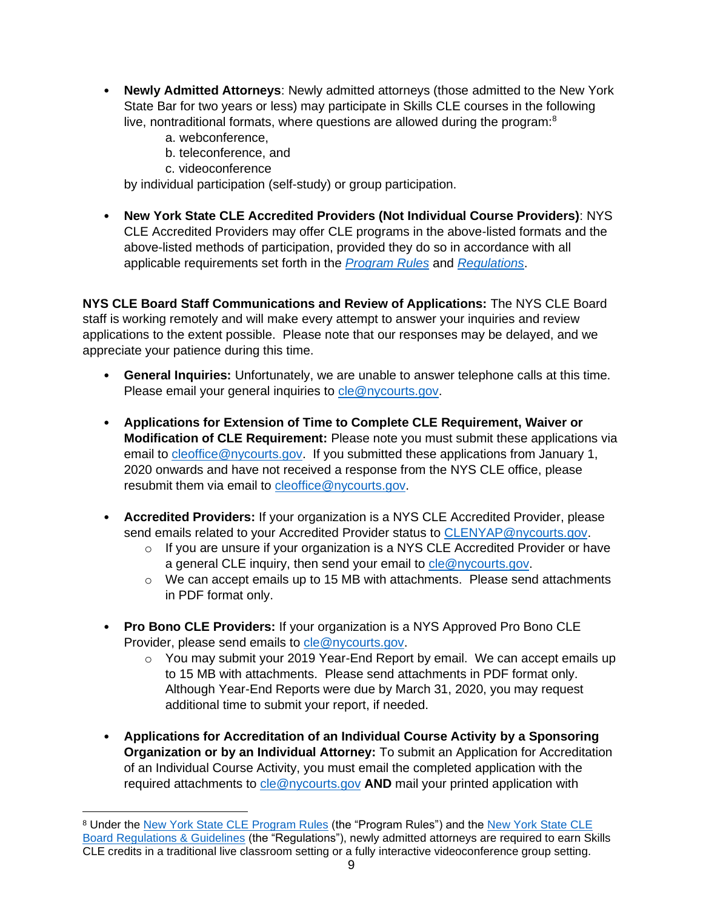- **Newly Admitted Attorneys**: Newly admitted attorneys (those admitted to the New York State Bar for two years or less) may participate in Skills CLE courses in the following live, nontraditional formats, where questions are allowed during the program:<sup>8</sup>
	- a. webconference,
	- b. teleconference, and
	- c. videoconference

by individual participation (self-study) or group participation.

• **New York State CLE Accredited Providers (Not Individual Course Providers)**: NYS CLE Accredited Providers may offer CLE programs in the above-listed formats and the above-listed methods of participation, provided they do so in accordance with all applicable requirements set forth in the *[Program Rules](http://ww2.nycourts.gov/sites/default/files/document/files/2018-03/programrules.pdf)* and *[Regulations](http://ww2.nycourts.gov/sites/default/files/document/files/2018-08/16a%20-%20%20CLE-Regulations__Guidelines-June%202018.pdf)*.

**NYS CLE Board Staff Communications and Review of Applications:** The NYS CLE Board staff is working remotely and will make every attempt to answer your inquiries and review applications to the extent possible. Please note that our responses may be delayed, and we appreciate your patience during this time.

- **General Inquiries:** Unfortunately, we are unable to answer telephone calls at this time. Please email your general inquiries to [cle@nycourts.gov.](mailto:cle@nycourts.gov)
- **Applications for Extension of Time to Complete CLE Requirement, Waiver or Modification of CLE Requirement:** Please note you must submit these applications via email to [cleoffice@nycourts.gov.](mailto:cleoffice@nycourts.gov) If you submitted these applications from January 1, 2020 onwards and have not received a response from the NYS CLE office, please resubmit them via email to [cleoffice@nycourts.gov.](mailto:cleoffice@nycourts.gov)
- **Accredited Providers:** If your organization is a NYS CLE Accredited Provider, please send emails related to your Accredited Provider status to [CLENYAP@nycourts.gov.](mailto:CLENYAP@nycourts.gov)
	- o If you are unsure if your organization is a NYS CLE Accredited Provider or have a general CLE inquiry, then send your email to [cle@nycourts.gov.](mailto:cle@nycourts.gov)
	- $\circ$  We can accept emails up to 15 MB with attachments. Please send attachments in PDF format only.
- **Pro Bono CLE Providers:** If your organization is a NYS Approved Pro Bono CLE Provider, please send emails to [cle@nycourts.gov.](mailto:cle@nycourts.gov)
	- o You may submit your 2019 Year-End Report by email. We can accept emails up to 15 MB with attachments. Please send attachments in PDF format only. Although Year-End Reports were due by March 31, 2020, you may request additional time to submit your report, if needed.
- **Applications for Accreditation of an Individual Course Activity by a Sponsoring Organization or by an Individual Attorney:** To submit an Application for Accreditation of an Individual Course Activity, you must email the completed application with the required attachments to [cle@nycourts.gov](mailto:cle@nycourts.gov) **AND** mail your printed application with

<sup>8</sup> Under the [New York State CLE Program Rules](http://ww2.nycourts.gov/sites/default/files/document/files/2018-03/programrules.pdf) (the "Program Rules") and the New York State CLE [Board Regulations & Guidelines](http://ww2.nycourts.gov/sites/default/files/document/files/2018-08/16a%20-%20%20CLE-Regulations__Guidelines-June%202018.pdf) (the "Regulations"), newly admitted attorneys are required to earn Skills CLE credits in a traditional live classroom setting or a fully interactive videoconference group setting.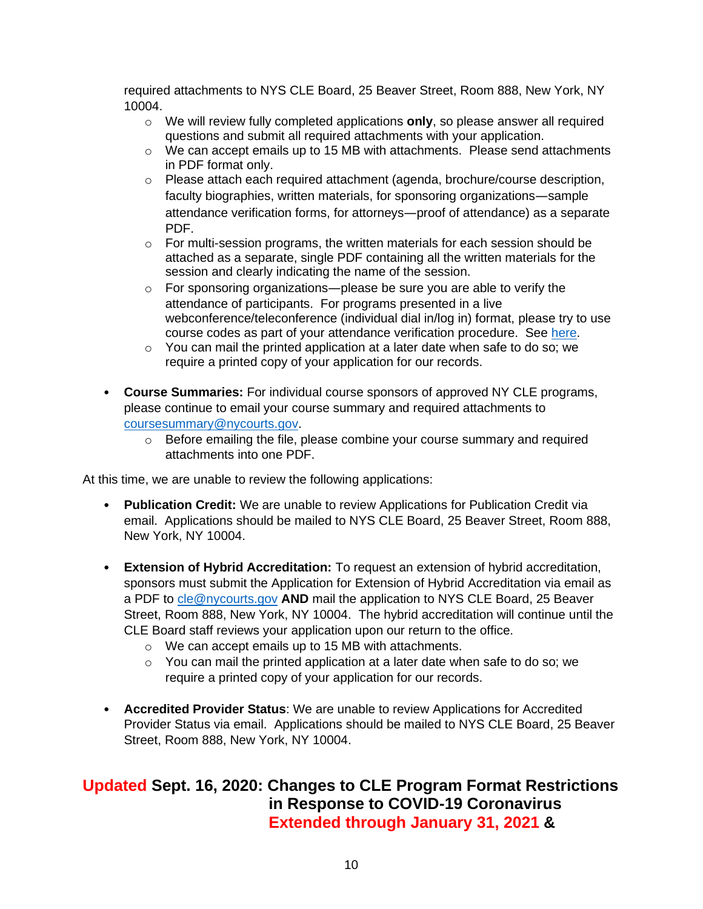required attachments to NYS CLE Board, 25 Beaver Street, Room 888, New York, NY 10004.

- o We will review fully completed applications **only**, so please answer all required questions and submit all required attachments with your application.
- $\circ$  We can accept emails up to 15 MB with attachments. Please send attachments in PDF format only.
- $\circ$  Please attach each required attachment (agenda, brochure/course description, faculty biographies, written materials, for sponsoring organizations—sample attendance verification forms, for attorneys—proof of attendance) as a separate PDF.
- $\circ$  For multi-session programs, the written materials for each session should be attached as a separate, single PDF containing all the written materials for the session and clearly indicating the name of the session.
- o For sponsoring organizations—please be sure you are able to verify the attendance of participants. For programs presented in a live webconference/teleconference (individual dial in/log in) format, please try to use course codes as part of your attendance verification procedure. See [here.](http://ww2.nycourts.gov/sites/default/files/document/files/2018-03/affirmation_sample.pdf)
- o You can mail the printed application at a later date when safe to do so; we require a printed copy of your application for our records.
- **Course Summaries:** For individual course sponsors of approved NY CLE programs, please continue to email your course summary and required attachments to [coursesummary@nycourts.gov.](mailto:coursesummary@nycourts.gov)
	- $\circ$  Before emailing the file, please combine your course summary and required attachments into one PDF.

At this time, we are unable to review the following applications:

- **Publication Credit:** We are unable to review Applications for Publication Credit via email. Applications should be mailed to NYS CLE Board, 25 Beaver Street, Room 888, New York, NY 10004.
- **Extension of Hybrid Accreditation:** To request an extension of hybrid accreditation, sponsors must submit the Application for Extension of Hybrid Accreditation via email as a PDF to [cle@nycourts.gov](mailto:cle@nycourts.gov) **AND** mail the application to NYS CLE Board, 25 Beaver Street, Room 888, New York, NY 10004. The hybrid accreditation will continue until the CLE Board staff reviews your application upon our return to the office.
	- o We can accept emails up to 15 MB with attachments.
	- $\circ$  You can mail the printed application at a later date when safe to do so; we require a printed copy of your application for our records.
- **Accredited Provider Status**: We are unable to review Applications for Accredited Provider Status via email. Applications should be mailed to NYS CLE Board, 25 Beaver Street, Room 888, New York, NY 10004.

#### **Updated Sept. 16, 2020: Changes to CLE Program Format Restrictions in Response to COVID-19 Coronavirus Extended through January 31, 2021 &**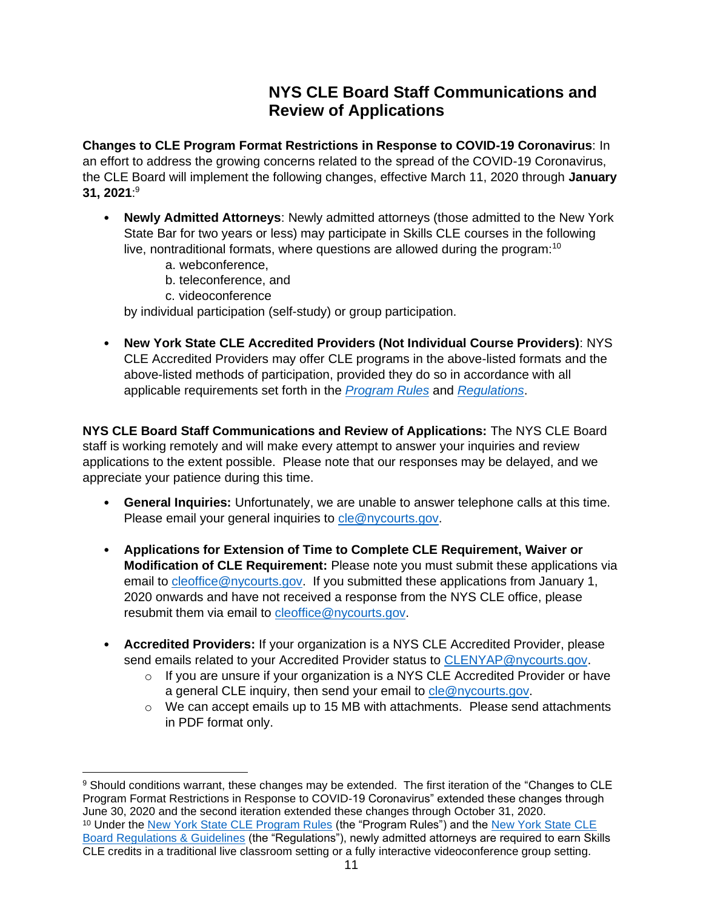# **NYS CLE Board Staff Communications and Review of Applications**

**Changes to CLE Program Format Restrictions in Response to COVID-19 Coronavirus**: In an effort to address the growing concerns related to the spread of the COVID-19 Coronavirus, the CLE Board will implement the following changes, effective March 11, 2020 through **January 31, 2021**: 9

- **Newly Admitted Attorneys**: Newly admitted attorneys (those admitted to the New York State Bar for two years or less) may participate in Skills CLE courses in the following live, nontraditional formats, where questions are allowed during the program:<sup>10</sup>
	- a. webconference,
	- b. teleconference, and
	- c. videoconference

by individual participation (self-study) or group participation.

• **New York State CLE Accredited Providers (Not Individual Course Providers)**: NYS CLE Accredited Providers may offer CLE programs in the above-listed formats and the above-listed methods of participation, provided they do so in accordance with all applicable requirements set forth in the *[Program Rules](http://ww2.nycourts.gov/sites/default/files/document/files/2018-03/programrules.pdf)* and *[Regulations](http://ww2.nycourts.gov/sites/default/files/document/files/2018-08/16a%20-%20%20CLE-Regulations__Guidelines-June%202018.pdf)*.

**NYS CLE Board Staff Communications and Review of Applications:** The NYS CLE Board staff is working remotely and will make every attempt to answer your inquiries and review applications to the extent possible. Please note that our responses may be delayed, and we appreciate your patience during this time.

- **General Inquiries:** Unfortunately, we are unable to answer telephone calls at this time. Please email your general inquiries to [cle@nycourts.gov.](mailto:cle@nycourts.gov)
- **Applications for Extension of Time to Complete CLE Requirement, Waiver or Modification of CLE Requirement:** Please note you must submit these applications via email to [cleoffice@nycourts.gov.](mailto:cleoffice@nycourts.gov) If you submitted these applications from January 1, 2020 onwards and have not received a response from the NYS CLE office, please resubmit them via email to [cleoffice@nycourts.gov.](mailto:cleoffice@nycourts.gov)
- **Accredited Providers:** If your organization is a NYS CLE Accredited Provider, please send emails related to your Accredited Provider status to [CLENYAP@nycourts.gov.](mailto:CLENYAP@nycourts.gov)
	- o If you are unsure if your organization is a NYS CLE Accredited Provider or have a general CLE inquiry, then send your email to [cle@nycourts.gov.](mailto:cle@nycourts.gov)
	- o We can accept emails up to 15 MB with attachments. Please send attachments in PDF format only.

<sup>9</sup> Should conditions warrant, these changes may be extended. The first iteration of the "Changes to CLE Program Format Restrictions in Response to COVID-19 Coronavirus" extended these changes through June 30, 2020 and the second iteration extended these changes through October 31, 2020. <sup>10</sup> Under the [New York State CLE Program Rules](http://ww2.nycourts.gov/sites/default/files/document/files/2018-03/programrules.pdf) (the "Program Rules") and the New York State CLE [Board Regulations & Guidelines](http://ww2.nycourts.gov/sites/default/files/document/files/2018-08/16a%20-%20%20CLE-Regulations__Guidelines-June%202018.pdf) (the "Regulations"), newly admitted attorneys are required to earn Skills CLE credits in a traditional live classroom setting or a fully interactive videoconference group setting.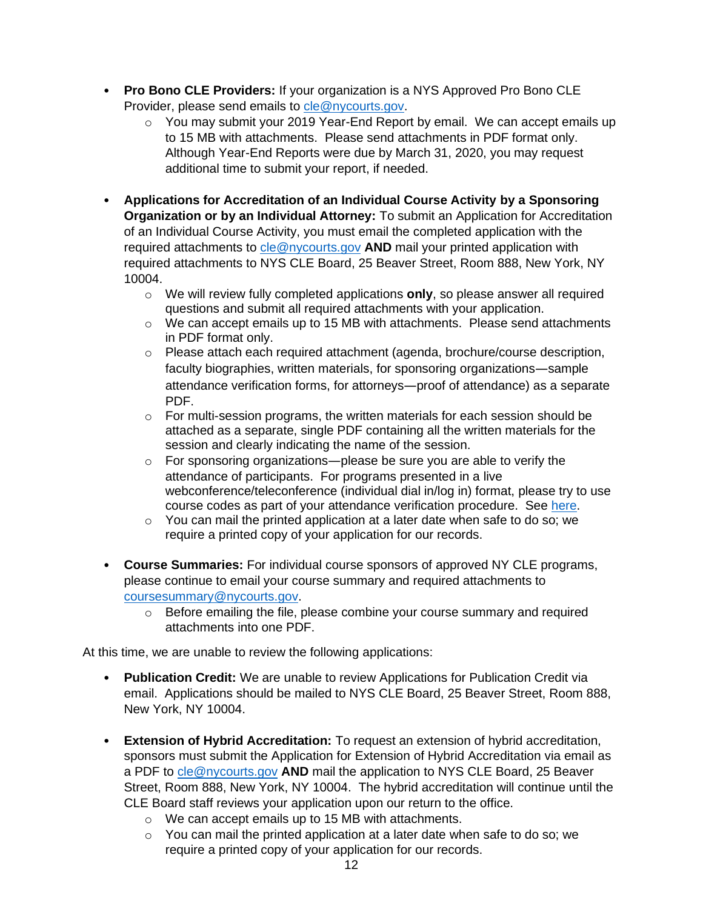- **Pro Bono CLE Providers:** If your organization is a NYS Approved Pro Bono CLE Provider, please send emails to [cle@nycourts.gov.](mailto:cle@nycourts.gov)
	- o You may submit your 2019 Year-End Report by email. We can accept emails up to 15 MB with attachments. Please send attachments in PDF format only. Although Year-End Reports were due by March 31, 2020, you may request additional time to submit your report, if needed.
- **Applications for Accreditation of an Individual Course Activity by a Sponsoring Organization or by an Individual Attorney:** To submit an Application for Accreditation of an Individual Course Activity, you must email the completed application with the required attachments to [cle@nycourts.gov](mailto:cle@nycourts.gov) **AND** mail your printed application with required attachments to NYS CLE Board, 25 Beaver Street, Room 888, New York, NY 10004.
	- o We will review fully completed applications **only**, so please answer all required questions and submit all required attachments with your application.
	- o We can accept emails up to 15 MB with attachments. Please send attachments in PDF format only.
	- $\circ$  Please attach each required attachment (agenda, brochure/course description, faculty biographies, written materials, for sponsoring organizations—sample attendance verification forms, for attorneys—proof of attendance) as a separate PDF.
	- $\circ$  For multi-session programs, the written materials for each session should be attached as a separate, single PDF containing all the written materials for the session and clearly indicating the name of the session.
	- o For sponsoring organizations—please be sure you are able to verify the attendance of participants. For programs presented in a live webconference/teleconference (individual dial in/log in) format, please try to use course codes as part of your attendance verification procedure. See [here.](http://ww2.nycourts.gov/sites/default/files/document/files/2018-03/affirmation_sample.pdf)
	- o You can mail the printed application at a later date when safe to do so; we require a printed copy of your application for our records.
- **Course Summaries:** For individual course sponsors of approved NY CLE programs, please continue to email your course summary and required attachments to [coursesummary@nycourts.gov.](mailto:coursesummary@nycourts.gov)
	- $\circ$  Before emailing the file, please combine your course summary and required attachments into one PDF.

At this time, we are unable to review the following applications:

- **Publication Credit:** We are unable to review Applications for Publication Credit via email. Applications should be mailed to NYS CLE Board, 25 Beaver Street, Room 888, New York, NY 10004.
- **Extension of Hybrid Accreditation:** To request an extension of hybrid accreditation, sponsors must submit the Application for Extension of Hybrid Accreditation via email as a PDF to [cle@nycourts.gov](mailto:cle@nycourts.gov) **AND** mail the application to NYS CLE Board, 25 Beaver Street, Room 888, New York, NY 10004. The hybrid accreditation will continue until the CLE Board staff reviews your application upon our return to the office.
	- o We can accept emails up to 15 MB with attachments.
	- o You can mail the printed application at a later date when safe to do so; we require a printed copy of your application for our records.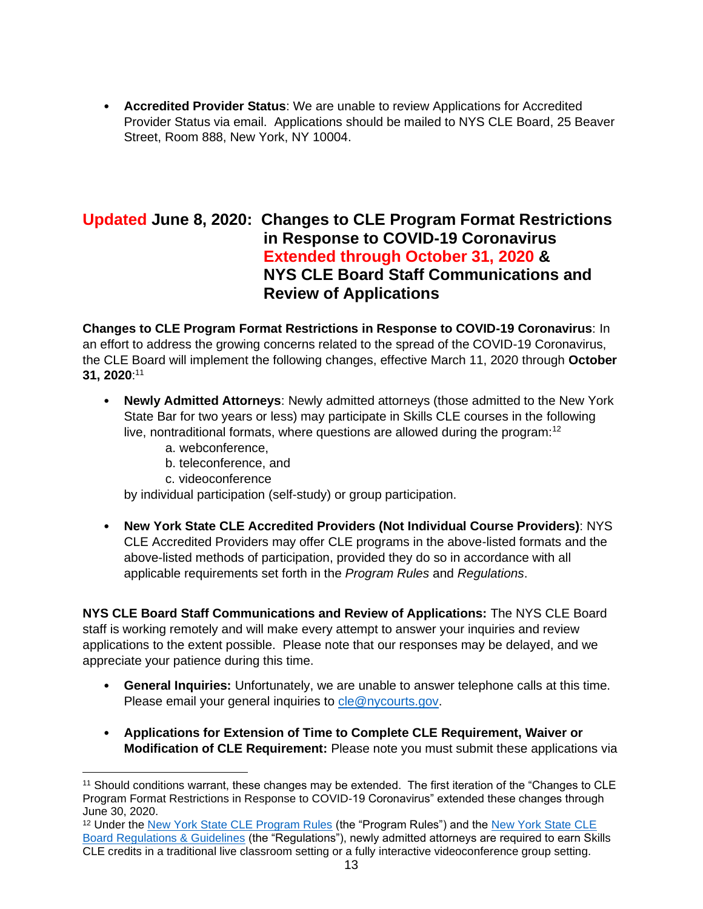• **Accredited Provider Status**: We are unable to review Applications for Accredited Provider Status via email. Applications should be mailed to NYS CLE Board, 25 Beaver Street, Room 888, New York, NY 10004.

#### **Updated June 8, 2020: Changes to CLE Program Format Restrictions in Response to COVID-19 Coronavirus Extended through October 31, 2020 & NYS CLE Board Staff Communications and Review of Applications**

**Changes to CLE Program Format Restrictions in Response to COVID-19 Coronavirus**: In an effort to address the growing concerns related to the spread of the COVID-19 Coronavirus, the CLE Board will implement the following changes, effective March 11, 2020 through **October 31, 2020**: 11

- **Newly Admitted Attorneys**: Newly admitted attorneys (those admitted to the New York State Bar for two years or less) may participate in Skills CLE courses in the following live, nontraditional formats, where questions are allowed during the program: $12$ 
	- a. webconference,
	- b. teleconference, and
	- c. videoconference

by individual participation (self-study) or group participation.

• **New York State CLE Accredited Providers (Not Individual Course Providers)**: NYS CLE Accredited Providers may offer CLE programs in the above-listed formats and the above-listed methods of participation, provided they do so in accordance with all applicable requirements set forth in the *Program Rules* and *Regulations*.

**NYS CLE Board Staff Communications and Review of Applications:** The NYS CLE Board staff is working remotely and will make every attempt to answer your inquiries and review applications to the extent possible. Please note that our responses may be delayed, and we appreciate your patience during this time.

- **General Inquiries:** Unfortunately, we are unable to answer telephone calls at this time. Please email your general inquiries to [cle@nycourts.gov.](mailto:cle@nycourts.gov)
- **Applications for Extension of Time to Complete CLE Requirement, Waiver or Modification of CLE Requirement:** Please note you must submit these applications via

<sup>11</sup> Should conditions warrant, these changes may be extended. The first iteration of the "Changes to CLE Program Format Restrictions in Response to COVID-19 Coronavirus" extended these changes through June 30, 2020.

<sup>&</sup>lt;sup>12</sup> Under the [New York State CLE Program Rules](http://ww2.nycourts.gov/sites/default/files/document/files/2018-03/programrules.pdf) (the "Program Rules") and the New York State CLE [Board Regulations & Guidelines](http://ww2.nycourts.gov/sites/default/files/document/files/2018-08/16a%20-%20%20CLE-Regulations__Guidelines-June%202018.pdf) (the "Regulations"), newly admitted attorneys are required to earn Skills CLE credits in a traditional live classroom setting or a fully interactive videoconference group setting.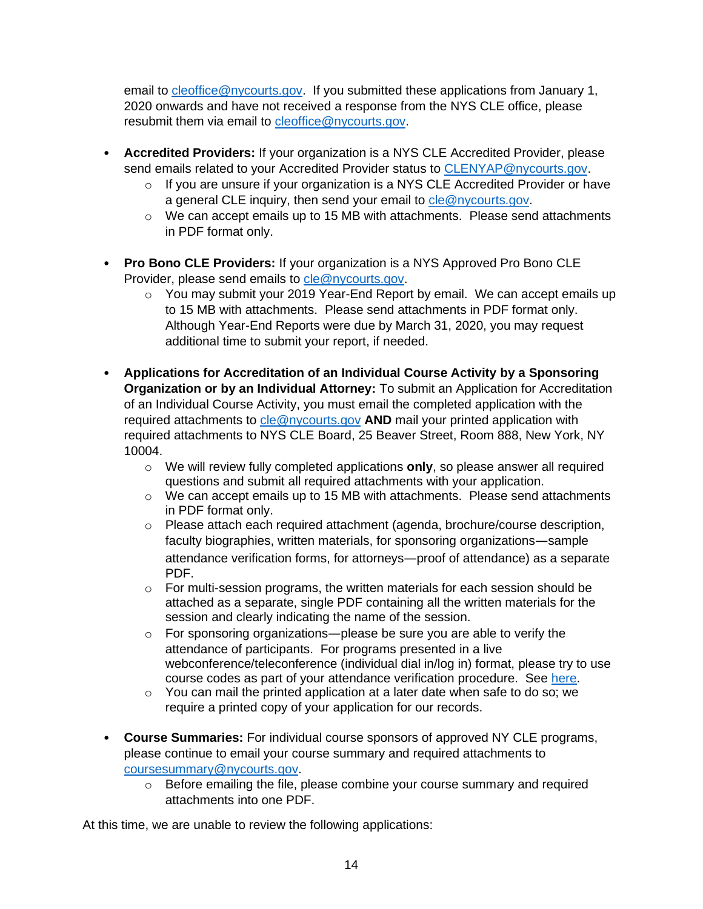email to [cleoffice@nycourts.gov.](mailto:cleoffice@nycourts.gov) If you submitted these applications from January 1, 2020 onwards and have not received a response from the NYS CLE office, please resubmit them via email to [cleoffice@nycourts.gov.](mailto:cleoffice@nycourts.gov)

- **Accredited Providers:** If your organization is a NYS CLE Accredited Provider, please send emails related to your Accredited Provider status to [CLENYAP@nycourts.gov.](mailto:CLENYAP@nycourts.gov)
	- o If you are unsure if your organization is a NYS CLE Accredited Provider or have a general CLE inquiry, then send your email to [cle@nycourts.gov.](mailto:cle@nycourts.gov)
	- o We can accept emails up to 15 MB with attachments. Please send attachments in PDF format only.
- **Pro Bono CLE Providers:** If your organization is a NYS Approved Pro Bono CLE Provider, please send emails to [cle@nycourts.gov.](mailto:cle@nycourts.gov)
	- o You may submit your 2019 Year-End Report by email. We can accept emails up to 15 MB with attachments. Please send attachments in PDF format only. Although Year-End Reports were due by March 31, 2020, you may request additional time to submit your report, if needed.
- **Applications for Accreditation of an Individual Course Activity by a Sponsoring Organization or by an Individual Attorney:** To submit an Application for Accreditation of an Individual Course Activity, you must email the completed application with the required attachments to [cle@nycourts.gov](mailto:cle@nycourts.gov) **AND** mail your printed application with required attachments to NYS CLE Board, 25 Beaver Street, Room 888, New York, NY 10004.
	- o We will review fully completed applications **only**, so please answer all required questions and submit all required attachments with your application.
	- o We can accept emails up to 15 MB with attachments. Please send attachments in PDF format only.
	- $\circ$  Please attach each required attachment (agenda, brochure/course description, faculty biographies, written materials, for sponsoring organizations—sample attendance verification forms, for attorneys—proof of attendance) as a separate PDF.
	- o For multi-session programs, the written materials for each session should be attached as a separate, single PDF containing all the written materials for the session and clearly indicating the name of the session.
	- o For sponsoring organizations—please be sure you are able to verify the attendance of participants. For programs presented in a live webconference/teleconference (individual dial in/log in) format, please try to use course codes as part of your attendance verification procedure. See [here.](http://ww2.nycourts.gov/sites/default/files/document/files/2018-03/affirmation_sample.pdf)
	- o You can mail the printed application at a later date when safe to do so; we require a printed copy of your application for our records.
- **Course Summaries:** For individual course sponsors of approved NY CLE programs, please continue to email your course summary and required attachments to [coursesummary@nycourts.gov.](mailto:coursesummary@nycourts.gov)
	- o Before emailing the file, please combine your course summary and required attachments into one PDF.

At this time, we are unable to review the following applications: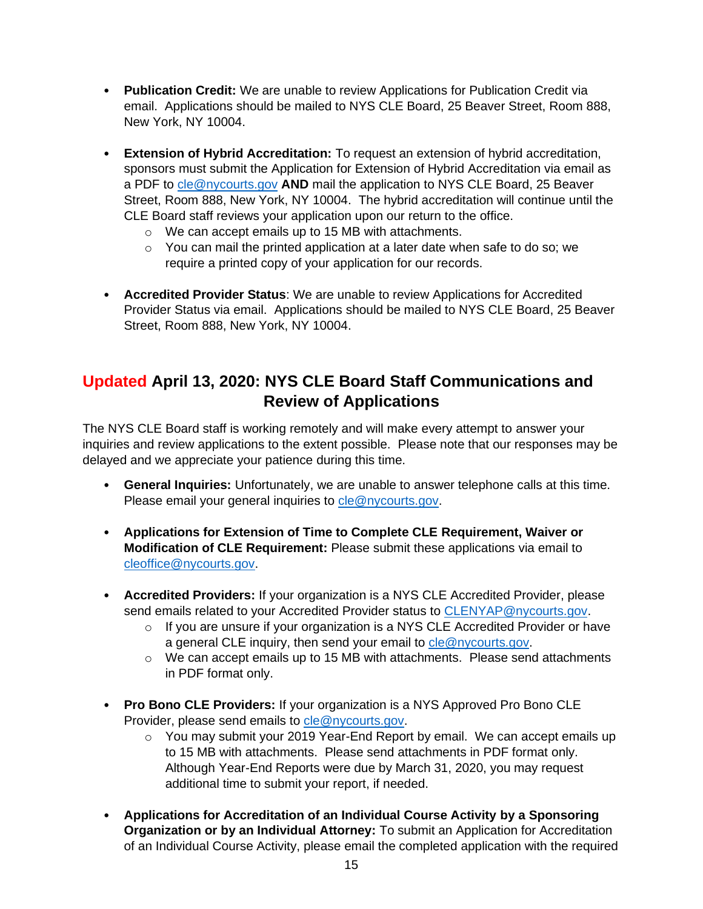- **Publication Credit:** We are unable to review Applications for Publication Credit via email. Applications should be mailed to NYS CLE Board, 25 Beaver Street, Room 888, New York, NY 10004.
- **Extension of Hybrid Accreditation:** To request an extension of hybrid accreditation, sponsors must submit the Application for Extension of Hybrid Accreditation via email as a PDF to [cle@nycourts.gov](mailto:cle@nycourts.gov) **AND** mail the application to NYS CLE Board, 25 Beaver Street, Room 888, New York, NY 10004. The hybrid accreditation will continue until the CLE Board staff reviews your application upon our return to the office.
	- o We can accept emails up to 15 MB with attachments.
	- o You can mail the printed application at a later date when safe to do so; we require a printed copy of your application for our records.
- **Accredited Provider Status**: We are unable to review Applications for Accredited Provider Status via email. Applications should be mailed to NYS CLE Board, 25 Beaver Street, Room 888, New York, NY 10004.

## **Updated April 13, 2020: NYS CLE Board Staff Communications and Review of Applications**

The NYS CLE Board staff is working remotely and will make every attempt to answer your inquiries and review applications to the extent possible. Please note that our responses may be delayed and we appreciate your patience during this time.

- **General Inquiries:** Unfortunately, we are unable to answer telephone calls at this time. Please email your general inquiries to [cle@nycourts.gov.](mailto:cle@nycourts.gov)
- **Applications for Extension of Time to Complete CLE Requirement, Waiver or Modification of CLE Requirement:** Please submit these applications via email to [cleoffice@nycourts.gov.](mailto:cleoffice@nycourts.gov)
- **Accredited Providers:** If your organization is a NYS CLE Accredited Provider, please send emails related to your Accredited Provider status to [CLENYAP@nycourts.gov.](mailto:CLENYAP@nycourts.gov)
	- o If you are unsure if your organization is a NYS CLE Accredited Provider or have a general CLE inquiry, then send your email to [cle@nycourts.gov.](mailto:cle@nycourts.gov)
	- o We can accept emails up to 15 MB with attachments. Please send attachments in PDF format only.
- **Pro Bono CLE Providers:** If your organization is a NYS Approved Pro Bono CLE Provider, please send emails to [cle@nycourts.gov.](mailto:cle@nycourts.gov)
	- o You may submit your 2019 Year-End Report by email. We can accept emails up to 15 MB with attachments. Please send attachments in PDF format only. Although Year-End Reports were due by March 31, 2020, you may request additional time to submit your report, if needed.
- **Applications for Accreditation of an Individual Course Activity by a Sponsoring Organization or by an Individual Attorney:** To submit an Application for Accreditation of an Individual Course Activity, please email the completed application with the required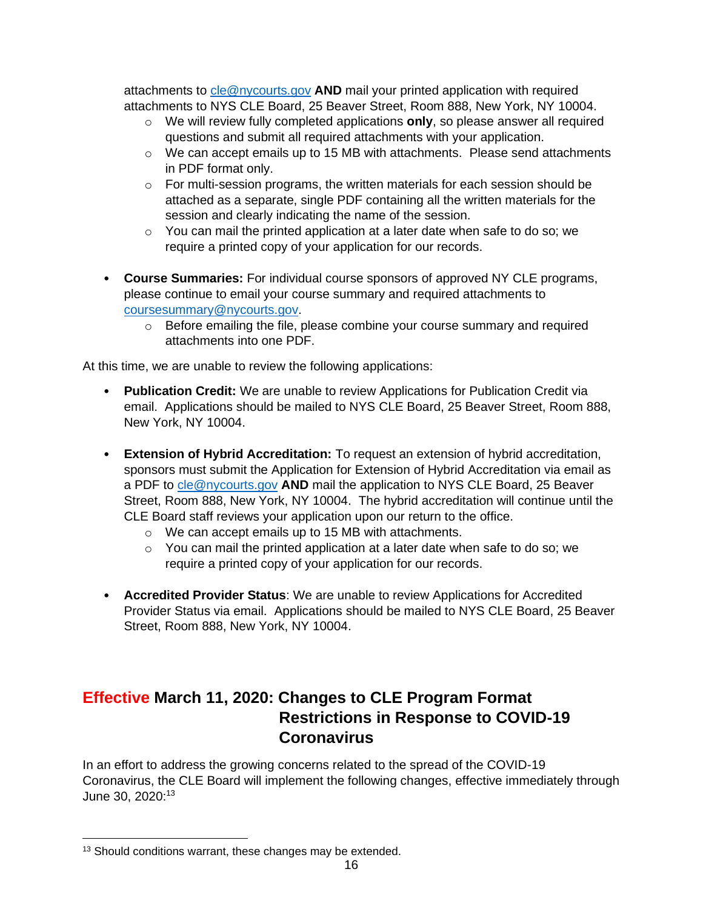attachments to [cle@nycourts.gov](mailto:cle@nycourts.gov) **AND** mail your printed application with required attachments to NYS CLE Board, 25 Beaver Street, Room 888, New York, NY 10004.

- o We will review fully completed applications **only**, so please answer all required questions and submit all required attachments with your application.
- o We can accept emails up to 15 MB with attachments. Please send attachments in PDF format only.
- $\circ$  For multi-session programs, the written materials for each session should be attached as a separate, single PDF containing all the written materials for the session and clearly indicating the name of the session.
- $\circ$  You can mail the printed application at a later date when safe to do so; we require a printed copy of your application for our records.
- **Course Summaries:** For individual course sponsors of approved NY CLE programs, please continue to email your course summary and required attachments to [coursesummary@nycourts.gov.](mailto:coursesummary@nycourts.gov)
	- $\circ$  Before emailing the file, please combine your course summary and required attachments into one PDF.

At this time, we are unable to review the following applications:

- **Publication Credit:** We are unable to review Applications for Publication Credit via email. Applications should be mailed to NYS CLE Board, 25 Beaver Street, Room 888, New York, NY 10004.
- **Extension of Hybrid Accreditation:** To request an extension of hybrid accreditation, sponsors must submit the Application for Extension of Hybrid Accreditation via email as a PDF to [cle@nycourts.gov](mailto:cle@nycourts.gov) **AND** mail the application to NYS CLE Board, 25 Beaver Street, Room 888, New York, NY 10004. The hybrid accreditation will continue until the CLE Board staff reviews your application upon our return to the office.
	- o We can accept emails up to 15 MB with attachments.
	- $\circ$  You can mail the printed application at a later date when safe to do so; we require a printed copy of your application for our records.
- **Accredited Provider Status**: We are unable to review Applications for Accredited Provider Status via email. Applications should be mailed to NYS CLE Board, 25 Beaver Street, Room 888, New York, NY 10004.

# **Effective March 11, 2020: Changes to CLE Program Format Restrictions in Response to COVID-19 Coronavirus**

In an effort to address the growing concerns related to the spread of the COVID-19 Coronavirus, the CLE Board will implement the following changes, effective immediately through June 30, 2020:<sup>13</sup>

<sup>&</sup>lt;sup>13</sup> Should conditions warrant, these changes may be extended.